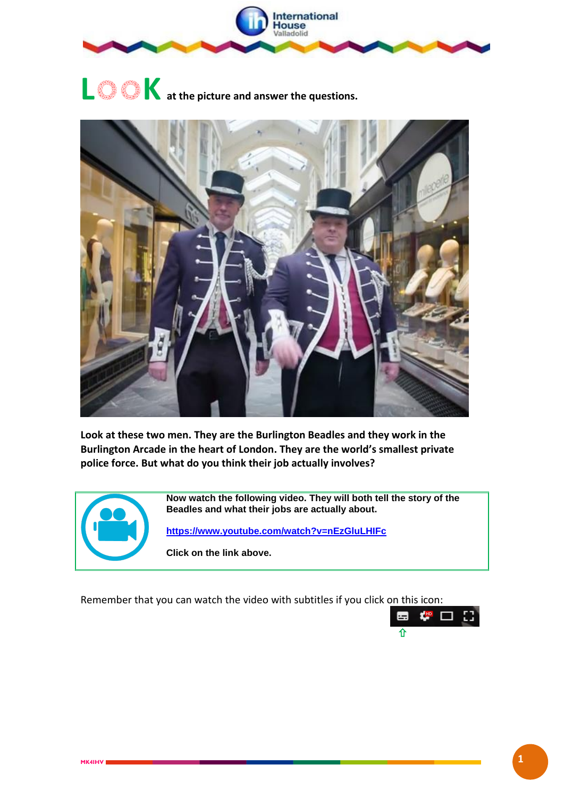

# **L**OO**K at the picture and answer the questions.**



**Look at these two men. They are the Burlington Beadles and they work in the Burlington Arcade in the heart of London. They are the world's smallest private police force. But what do you think their job actually involves?**



**Now watch the following video. They will both tell the story of the Beadles and what their jobs are actually about.**

**<https://www.youtube.com/watch?v=nEzGluLHIFc>**

**Click on the link above.**

Remember that you can watch the video with subtitles if you click on this icon:

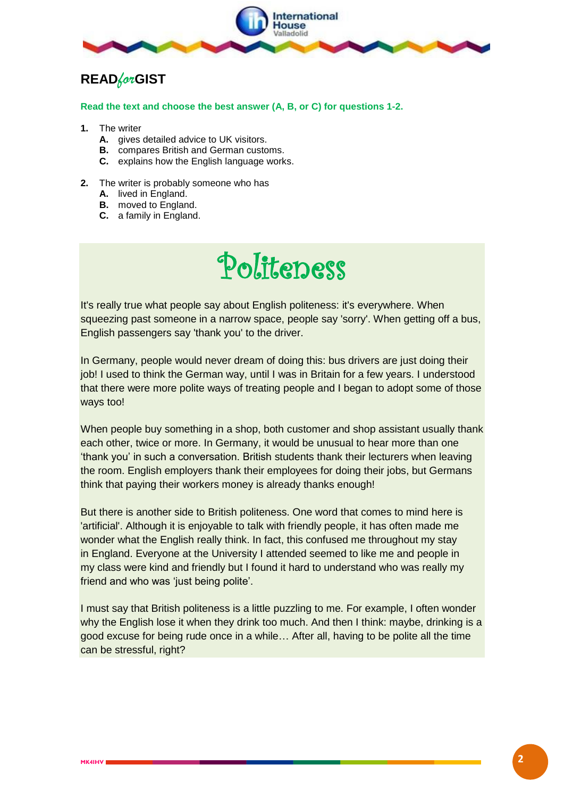

## **READ***for***GIST**

#### **Read the text and choose the best answer (A, B, or C) for questions 1-2.**

- **1.** The writer
	- **A.** gives detailed advice to UK visitors.
	- **B.** compares British and German customs.
	- **C.** explains how the English language works.
- **2.** The writer is probably someone who has
	- **A.** lived in England.
	- **B.** moved to England.
	- **C.** a family in England.

## Politeness

It's really true what people say about English politeness: it's everywhere. When squeezing past someone in a narrow space, people say 'sorry'. When getting off a bus, English passengers say 'thank you' to the driver.

In Germany, people would never dream of doing this: bus drivers are just doing their job! I used to think the German way, until I was in Britain for a few years. I understood that there were more polite ways of treating people and I began to adopt some of those ways too!

When people buy something in a shop, both customer and shop assistant usually thank each other, twice or more. In Germany, it would be unusual to hear more than one 'thank you' in such a conversation. British students thank their lecturers when leaving the room. English employers thank their employees for doing their jobs, but Germans think that paying their workers money is already thanks enough!

But there is another side to British politeness. One word that comes to mind here is 'artificial'. Although it is enjoyable to talk with friendly people, it has often made me wonder what the English really think. In fact, this confused me throughout my stay in England. Everyone at the University I attended seemed to like me and people in my class were kind and friendly but I found it hard to understand who was really my friend and who was 'just being polite'.

I must say that British politeness is a little puzzling to me. For example, I often wonder why the English lose it when they drink too much. And then I think: maybe, drinking is a good excuse for being rude once in a while… After all, having to be polite all the time can be stressful, right?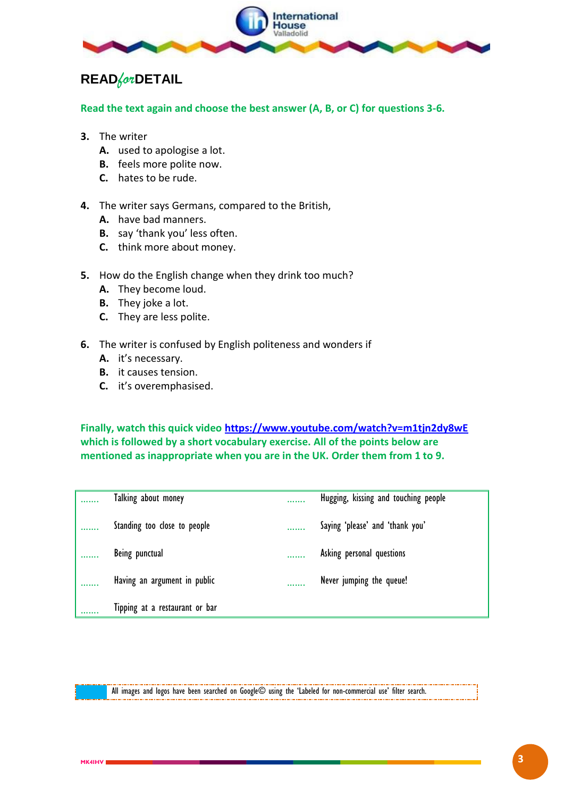

## **READ***for***DETAIL**

**Read the text again and choose the best answer (A, B, or C) for questions 3-6.**

- **3.** The writer
	- **A.** used to apologise a lot.
	- **B.** feels more polite now.
	- **C.** hates to be rude.
- **4.** The writer says Germans, compared to the British,
	- **A.** have bad manners.
	- **B.** say 'thank you' less often.
	- **C.** think more about money.
- **5.** How do the English change when they drink too much?
	- **A.** They become loud.
	- **B.** They joke a lot.
	- **C.** They are less polite.
- **6.** The writer is confused by English politeness and wonders if
	- **A.** it's necessary.
	- **B.** it causes tension.
	- **C.** it's overemphasised.

**Finally, watch this quick video<https://www.youtube.com/watch?v=m1tjn2dy8wE> which is followed by a short vocabulary exercise. All of the points below are mentioned as inappropriate when you are in the UK. Order them from 1 to 9.**

|   | Talking about money            | <br>Hugging, kissing and touching people |
|---|--------------------------------|------------------------------------------|
|   | Standing too close to people   | <br>Saying 'please' and 'thank you'      |
| . | Being punctual                 | Asking personal questions                |
|   | Having an argument in public   | <br>Never jumping the queue!             |
|   | Tipping at a restaurant or bar |                                          |

All images and logos have been searched on Google© using the 'Labeled for non-commercial use' filter search.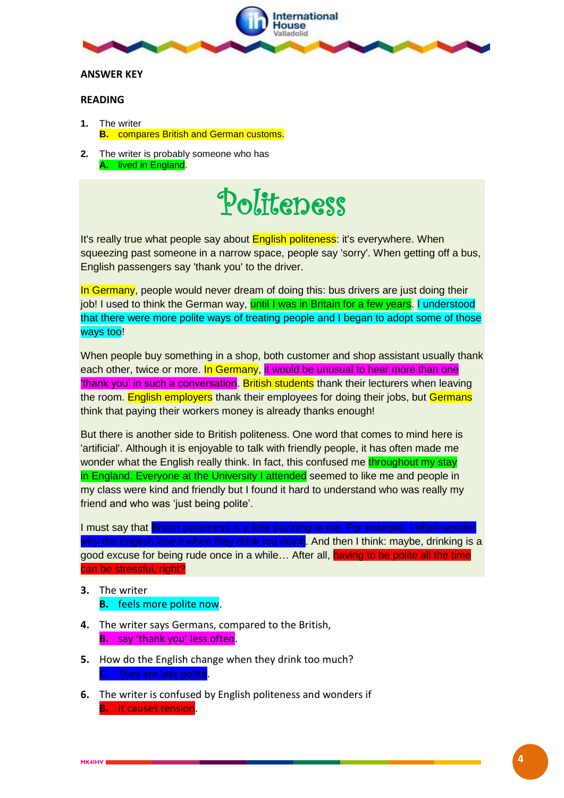

#### **ANSWER KEY**

### **READING**

- **1.** The writer **B.** compares British and German customs.
- **2.** The writer is probably someone who has **A.** lived in England.

## Politeness

It's really true what people say about English politeness: it's everywhere. When squeezing past someone in a narrow space, people say 'sorry'. When getting off a bus, English passengers say 'thank you' to the driver.

In Germany, people would never dream of doing this: bus drivers are just doing their job! I used to think the German way, until I was in Britain for a few years. I understood that there were more polite ways of treating people and I began to adopt some of those ways too!

When people buy something in a shop, both customer and shop assistant usually thank each other, twice or more. In Germany, it would be unusual to hear more than one 'thank you' in such a conversation. British students thank their lecturers when leaving the room. English employers thank their employees for doing their jobs, but Germans think that paying their workers money is already thanks enough!

But there is another side to British politeness. One word that comes to mind here is 'artificial'. Although it is enjoyable to talk with friendly people, it has often made me wonder what the English really think. In fact, this confused me throughout my stay in England. Everyone at the University I attended seemed to like me and people in my class were kind and friendly but I found it hard to understand who was really my friend and who was 'just being polite'.

I must say that **British politeness is a little puzzling to me. For example, I often wonder** why the English lose it when they drink too much. And then I think: maybe, drinking is a good excuse for being rude once in a while… After all, having to be polite all the time can be stressful, right?

- **3.** The writer
	- **B.** feels more polite now.
- **4.** The writer says Germans, compared to the British, **B.** say 'thank you' less often.
- **5.** How do the English change when they drink too much? **C.** They are less polite.
- **6.** The writer is confused by English politeness and wonders if **B.** it causes tension.